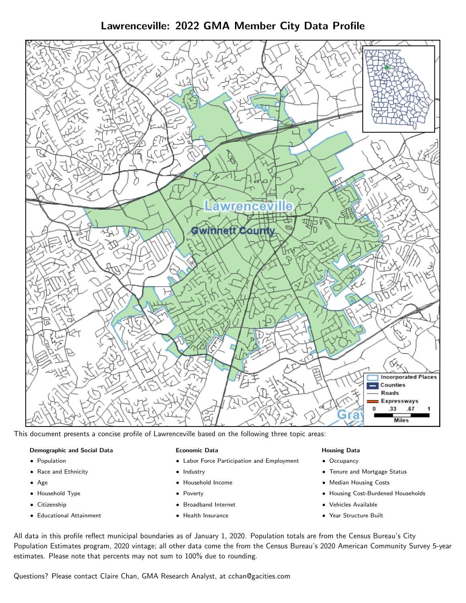# Lawrenceville: 2022 GMA Member City Data Profile



This document presents a concise profile of Lawrenceville based on the following three topic areas:

## Demographic and Social Data

- **•** Population
- Race and Ethnicity
- Age
- Household Type
- **Citizenship**
- Educational Attainment

#### Economic Data

- Labor Force Participation and Employment
- Industry
- Household Income
- Poverty
- Broadband Internet
- Health Insurance

### Housing Data

- Occupancy
- Tenure and Mortgage Status
- Median Housing Costs
- Housing Cost-Burdened Households
- Vehicles Available
- Year Structure Built

All data in this profile reflect municipal boundaries as of January 1, 2020. Population totals are from the Census Bureau's City Population Estimates program, 2020 vintage; all other data come the from the Census Bureau's 2020 American Community Survey 5-year estimates. Please note that percents may not sum to 100% due to rounding.

Questions? Please contact Claire Chan, GMA Research Analyst, at [cchan@gacities.com.](mailto:cchan@gacities.com)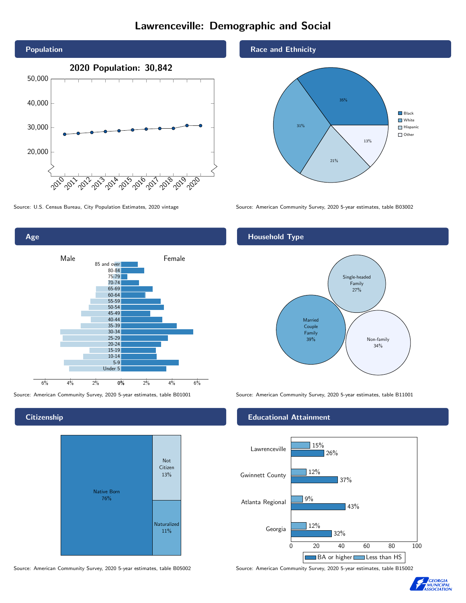# Lawrenceville: Demographic and Social





# **Citizenship**



Source: American Community Survey, 2020 5-year estimates, table B05002 Source: American Community Survey, 2020 5-year estimates, table B15002

## Race and Ethnicity



Source: U.S. Census Bureau, City Population Estimates, 2020 vintage Source: American Community Survey, 2020 5-year estimates, table B03002

# Household Type



Source: American Community Survey, 2020 5-year estimates, table B01001 Source: American Community Survey, 2020 5-year estimates, table B11001

#### Educational Attainment



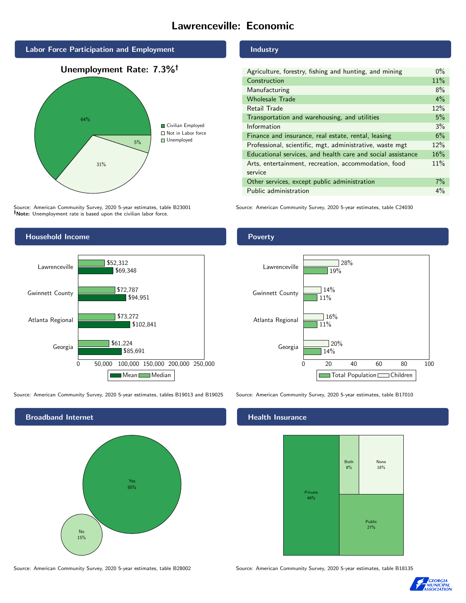# Lawrenceville: Economic







Source: American Community Survey, 2020 5-year estimates, table B23001 Note: Unemployment rate is based upon the civilian labor force.



Source: American Community Survey, 2020 5-year estimates, tables B19013 and B19025 Source: American Community Survey, 2020 5-year estimates, table B17010



## Industry

| Agriculture, forestry, fishing and hunting, and mining      | $0\%$ |
|-------------------------------------------------------------|-------|
| Construction                                                | 11%   |
| Manufacturing                                               | 8%    |
| <b>Wholesale Trade</b>                                      | $4\%$ |
| Retail Trade                                                | 12%   |
| Transportation and warehousing, and utilities               | 5%    |
| Information                                                 | 3%    |
| Finance and insurance, real estate, rental, leasing         | 6%    |
| Professional, scientific, mgt, administrative, waste mgt    | 12%   |
| Educational services, and health care and social assistance | 16%   |
| Arts, entertainment, recreation, accommodation, food        | 11%   |
| service                                                     |       |
| Other services, except public administration                | $7\%$ |
| Public administration                                       | $4\%$ |

Source: American Community Survey, 2020 5-year estimates, table C24030

# Poverty



## Health Insurance



Source: American Community Survey, 2020 5-year estimates, table B28002 Source: American Community Survey, 2020 5-year estimates, table B18135